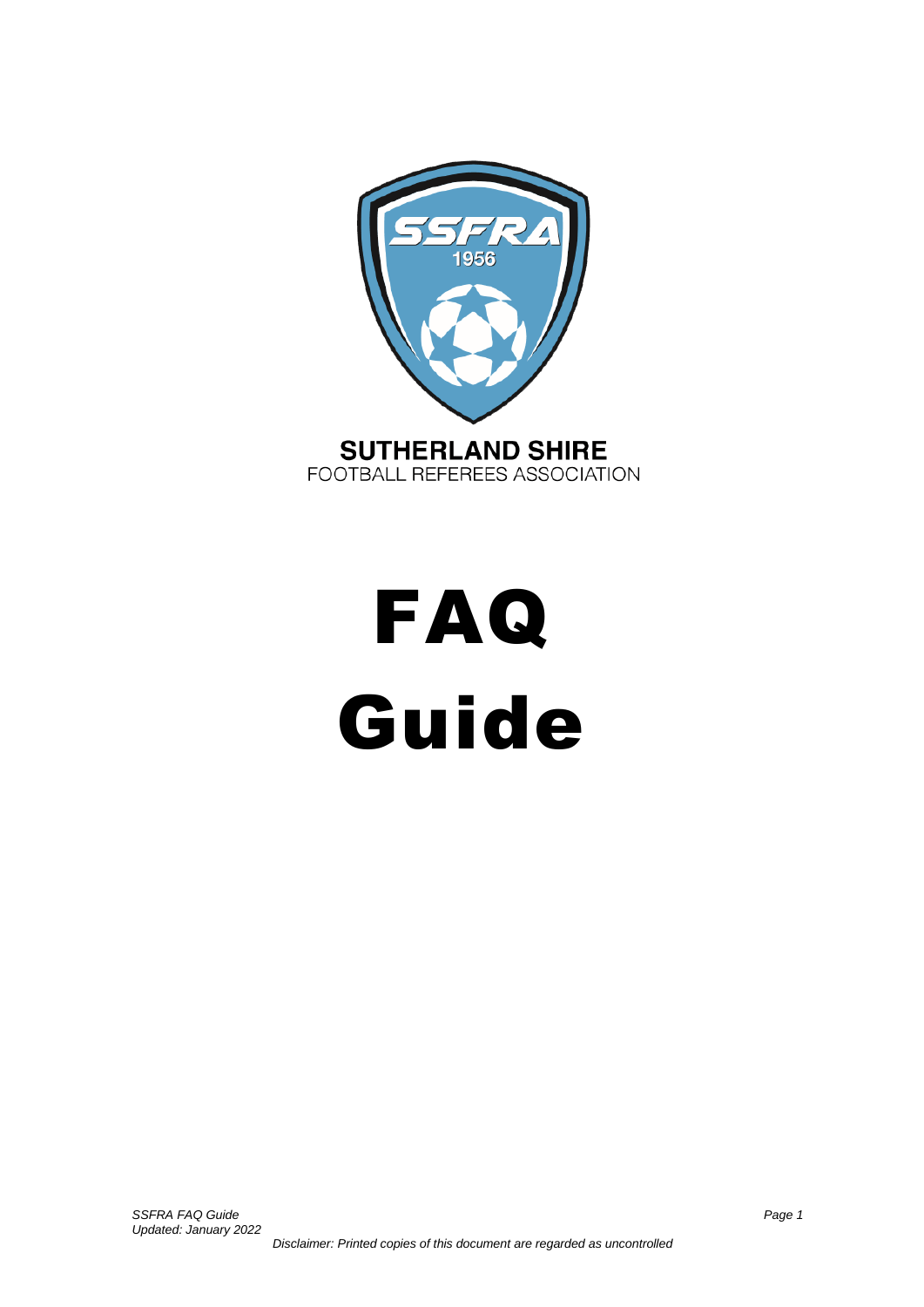

# FAQ Guide

*Disclaimer: Printed copies of this document are regarded as uncontrolled*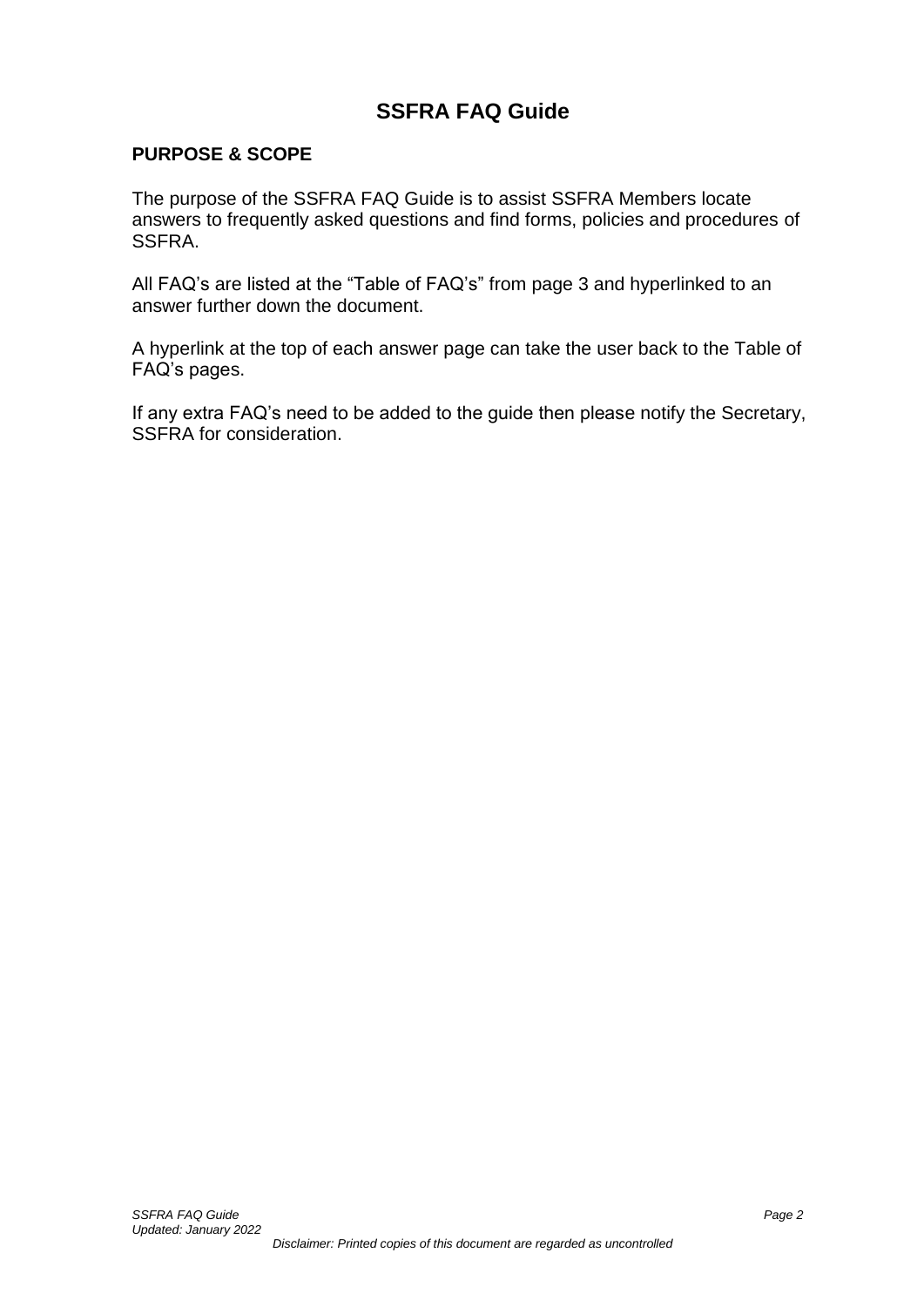# **SSFRA FAQ Guide**

# **PURPOSE & SCOPE**

The purpose of the SSFRA FAQ Guide is to assist SSFRA Members locate answers to frequently asked questions and find forms, policies and procedures of SSFRA.

All FAQ's are listed at the "Table of FAQ's" from page 3 and hyperlinked to an answer further down the document.

A hyperlink at the top of each answer page can take the user back to the Table of FAQ's pages.

If any extra FAQ's need to be added to the guide then please notify the Secretary, SSFRA for consideration.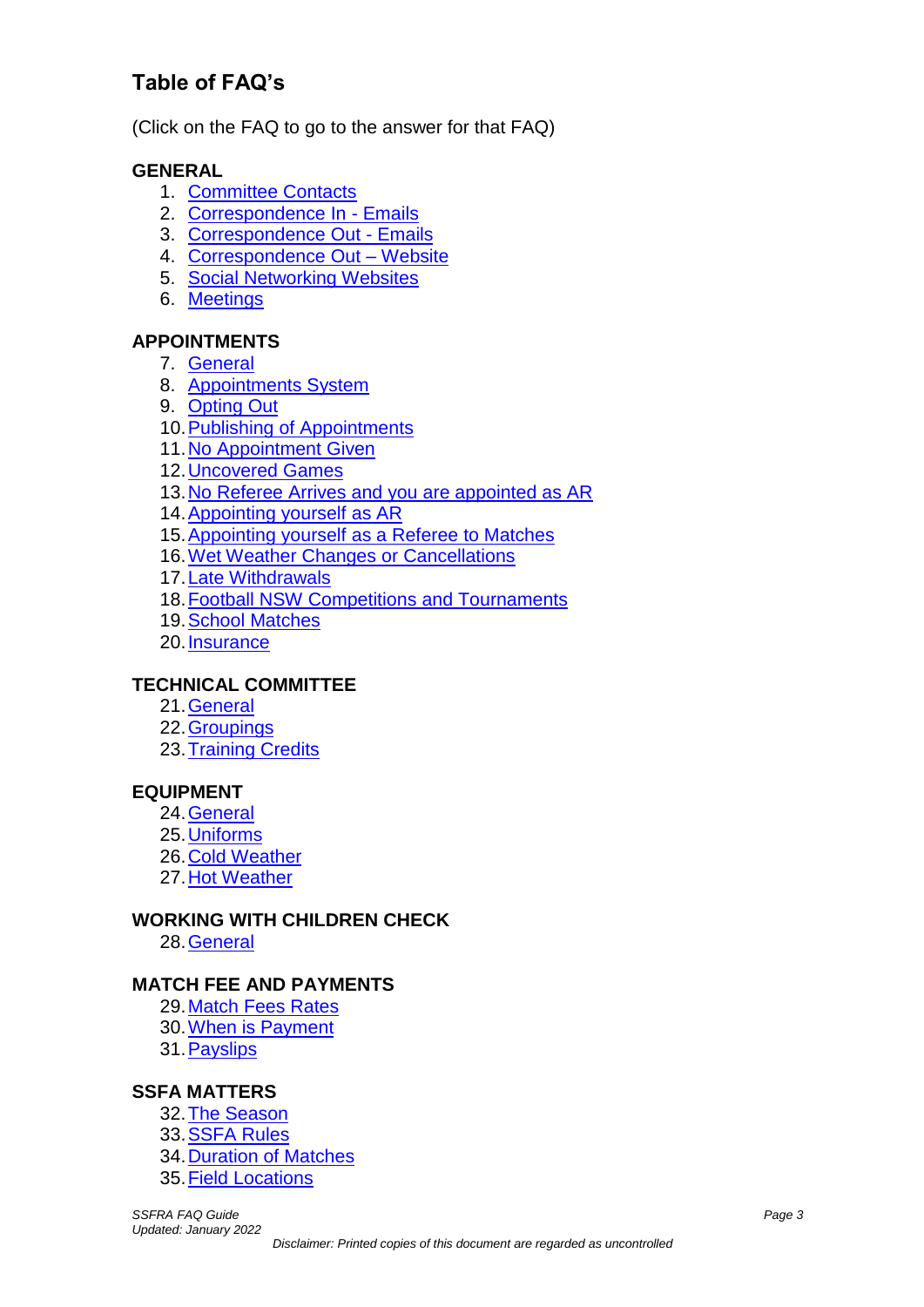# <span id="page-2-0"></span>**Table of FAQ's**

(Click on the FAQ to go to the answer for that FAQ)

# **GENERAL**

- 1. [Committee Contacts](#page-4-0)
- 2. [Correspondence In -](#page-4-1) Emails
- 3. [Correspondence Out -](#page-4-2) Emails
- 4. [Correspondence Out –](#page-4-3) Website
- 5. [Social Networking Websites](#page-4-4)
- 6. [Meetings](#page-4-5)

# **APPOINTMENTS**

- 7. [General](#page-5-0)
- 8. [Appointments System](#page-5-1)
- 9. [Opting Out](#page-5-2)
- 10[.Publishing of Appointments](#page-5-3)
- 11[.No Appointment Given](#page-5-4)
- 12[.Uncovered Games](#page-5-5)
- 13[.No Referee Arrives and you are appointed as AR](#page-5-6)
- 14[.Appointing yourself as AR](#page-6-0)
- 15[.Appointing yourself as a](#page-6-1) Referee to Matches
- 16[.Wet Weather Changes or Cancellations](#page-6-2)
- 17[.Late Withdrawals](#page-6-3)
- 18[.Football NSW Competitions and Tournaments](#page-6-4)
- 19[.School Matches](#page-6-5)
- 20[.Insurance](#page-6-6)

# **TECHNICAL COMMITTEE**

- 21[.General](#page-7-0)
- 22[.Groupings](#page-7-1)
- 23[.Training Credits](#page-7-2)

# **EQUIPMENT**

- 24[.General](#page-7-3)
- 25[.Uniforms](#page-7-4)
- 26[.Cold Weather](#page-8-0)
- 27[.Hot Weather](#page-8-1)

# **WORKING WITH CHILDREN CHECK**

28[.General](#page-8-2)

# **MATCH FEE AND PAYMENTS**

- 29[.Match Fees Rates](#page-8-3)
- 30[.When is Payment](#page-8-4)
- 31.Payslips

# **SSFA MATTERS**

- 32[.The Season](#page-8-5)
- 33[.SSFA Rules](#page-8-6)
- 34[.Duration of Matches](#page-9-0)
- 35[.Field Locations](#page-9-1)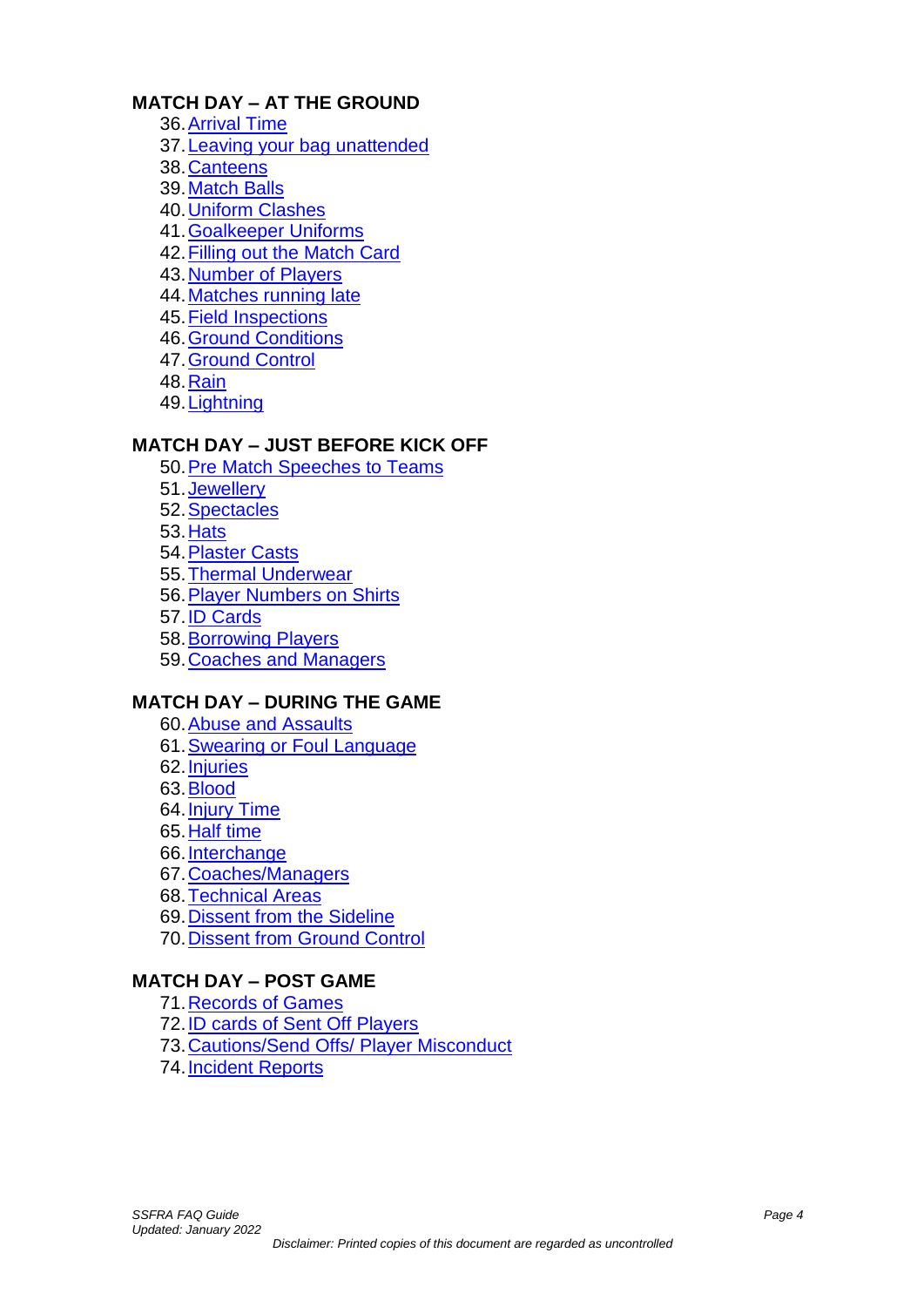# **MATCH DAY – AT THE GROUND**

- [.Arrival Time](#page-9-2)
- [.Leaving your bag unattended](#page-9-3)
- [.Canteens](#page-9-4)
- [.Match Balls](#page-9-5)
- [.Uniform Clashes](#page-9-6)
- [.Goalkeeper Uniforms](#page-9-7)
- [.Filling out the Match Card](#page-10-0)
- [.Number of Players](#page-10-1)
- [.Matches running late](#page-10-2)
- [.Field Inspections](#page-11-0)
- [.Ground Conditions](#page-11-1)
- [.Ground Control](#page-12-0)
- [.Rain](#page-12-1)
- [.Lightning](#page-12-2)

# **MATCH DAY – JUST BEFORE KICK OFF**

- [.Pre Match Speeches to Teams](#page-12-3)
- [.Jewellery](#page-12-4)
- [.Spectacles](#page-12-5)
- [.Hats](#page-12-6)
- [.Plaster Casts](#page-13-0)
- [.Thermal Underwear](#page-13-1)
- [.Player Numbers on Shirts](#page-13-2)
- [.ID Cards](#page-13-3)
- [.Borrowing Players](#page-13-4)
- [.Coaches and Managers](#page-13-5)

# **MATCH DAY – DURING THE GAME**

- [.Abuse and Assaults](#page-14-0)
- [.Swearing or Foul Language](#page-14-1)
- [.Injuries](#page-15-0)
- [.Blood](#page-15-1)
- [.Injury Time](#page-16-0)
- [.Half time](#page-16-1)
- [.Interchange](#page-16-2)
- [.Coaches/Managers](#page-16-3)
- [.Technical Areas](#page-17-0)
- [.Dissent from the Sideline](#page-17-1)
- 70.Dissent [from Ground Control](#page-17-2)

# **MATCH DAY – POST GAME**

- [.Records of Games](#page-17-3)
- 72. **ID cards of Sent Off Players**
- [.Cautions/Send Offs/ Player Misconduct](#page-18-0)
- [.Incident Reports](#page-18-1)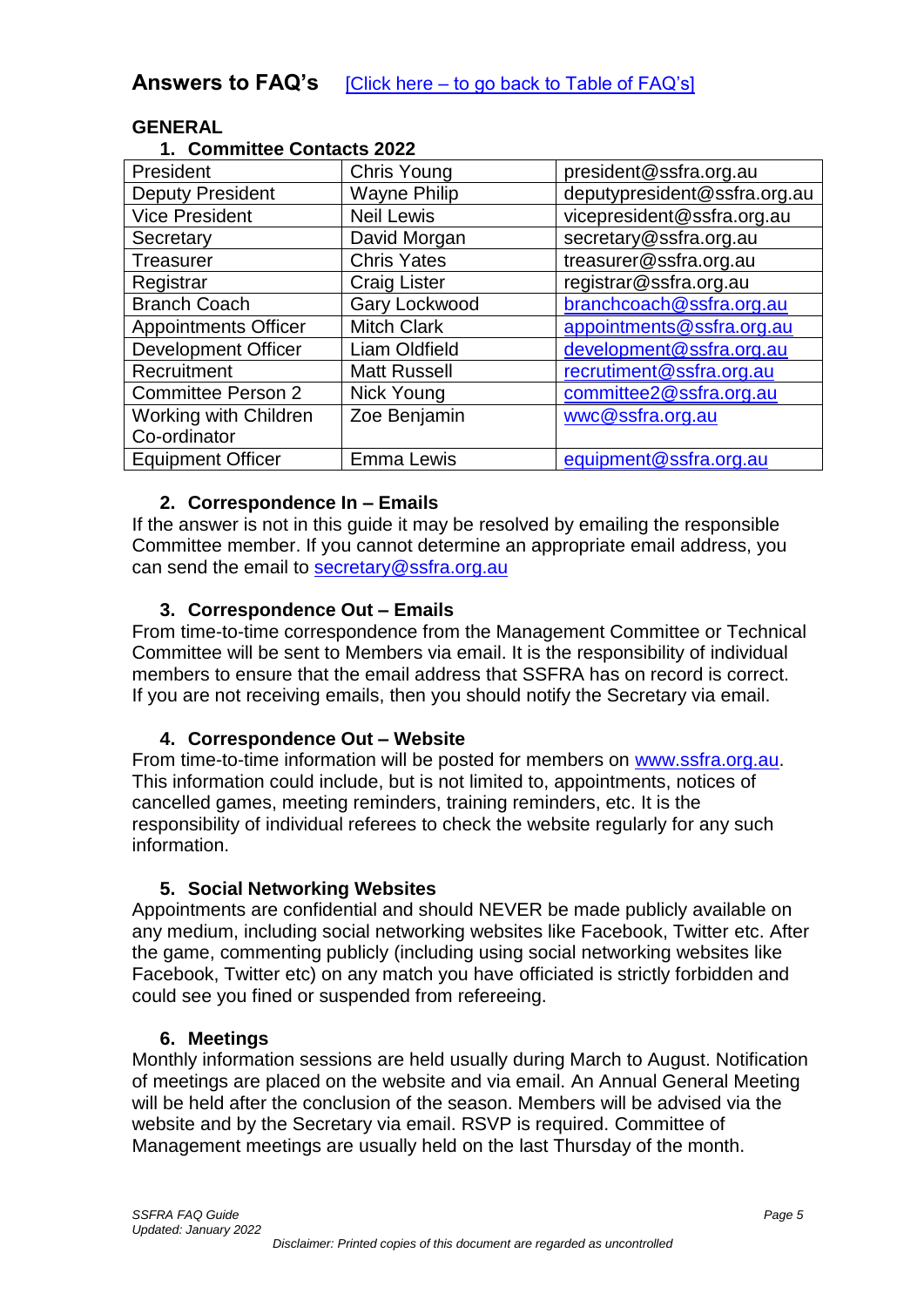<span id="page-4-0"></span>

| <b>1. COMMITATE CONTACTS ZUZZ</b> |                      |                              |
|-----------------------------------|----------------------|------------------------------|
| President                         | Chris Young          | president@ssfra.org.au       |
| <b>Deputy President</b>           | <b>Wayne Philip</b>  | deputypresident@ssfra.org.au |
| <b>Vice President</b>             | <b>Neil Lewis</b>    | vicepresident@ssfra.org.au   |
| Secretary                         | David Morgan         | secretary@ssfra.org.au       |
| Treasurer                         | <b>Chris Yates</b>   | treasurer@ssfra.org.au       |
| Registrar                         | <b>Craig Lister</b>  | registrar@ssfra.org.au       |
| <b>Branch Coach</b>               | <b>Gary Lockwood</b> | branchcoach@ssfra.org.au     |
| <b>Appointments Officer</b>       | <b>Mitch Clark</b>   | appointments@ssfra.org.au    |
| <b>Development Officer</b>        | Liam Oldfield        | development@ssfra.org.au     |
| Recruitment                       | <b>Matt Russell</b>  | recrutiment@ssfra.org.au     |
| <b>Committee Person 2</b>         | Nick Young           | committee2@ssfra.org.au      |
| Working with Children             | Zoe Benjamin         | wwc@ssfra.org.au             |
| Co-ordinator                      |                      |                              |
| <b>Equipment Officer</b>          | <b>Emma Lewis</b>    | equipment@ssfra.org.au       |

#### **GENERAL 1. Committee Contacts 2022**

# **2. Correspondence In – Emails**

<span id="page-4-1"></span>If the answer is not in this guide it may be resolved by emailing the responsible Committee member. If you cannot determine an appropriate email address, you can send the email to [secretary@ssfra.org.au](mailto:secretary@ssfra.org.au)

# **3. Correspondence Out – Emails**

<span id="page-4-2"></span>From time-to-time correspondence from the Management Committee or Technical Committee will be sent to Members via email. It is the responsibility of individual members to ensure that the email address that SSFRA has on record is correct. If you are not receiving emails, then you should notify the Secretary via email.

# **4. Correspondence Out – Website**

<span id="page-4-3"></span>From time-to-time information will be posted for members on [www.ssfra.org.au.](http://www.ssfra.org.au/) This information could include, but is not limited to, appointments, notices of cancelled games, meeting reminders, training reminders, etc. It is the responsibility of individual referees to check the website regularly for any such information.

# **5. Social Networking Websites**

<span id="page-4-4"></span>Appointments are confidential and should NEVER be made publicly available on any medium, including social networking websites like Facebook, Twitter etc. After the game, commenting publicly (including using social networking websites like Facebook, Twitter etc) on any match you have officiated is strictly forbidden and could see you fined or suspended from refereeing.

# **6. Meetings**

<span id="page-4-5"></span>Monthly information sessions are held usually during March to August. Notification of meetings are placed on the website and via email. An Annual General Meeting will be held after the conclusion of the season. Members will be advised via the website and by the Secretary via email. RSVP is required. Committee of Management meetings are usually held on the last Thursday of the month.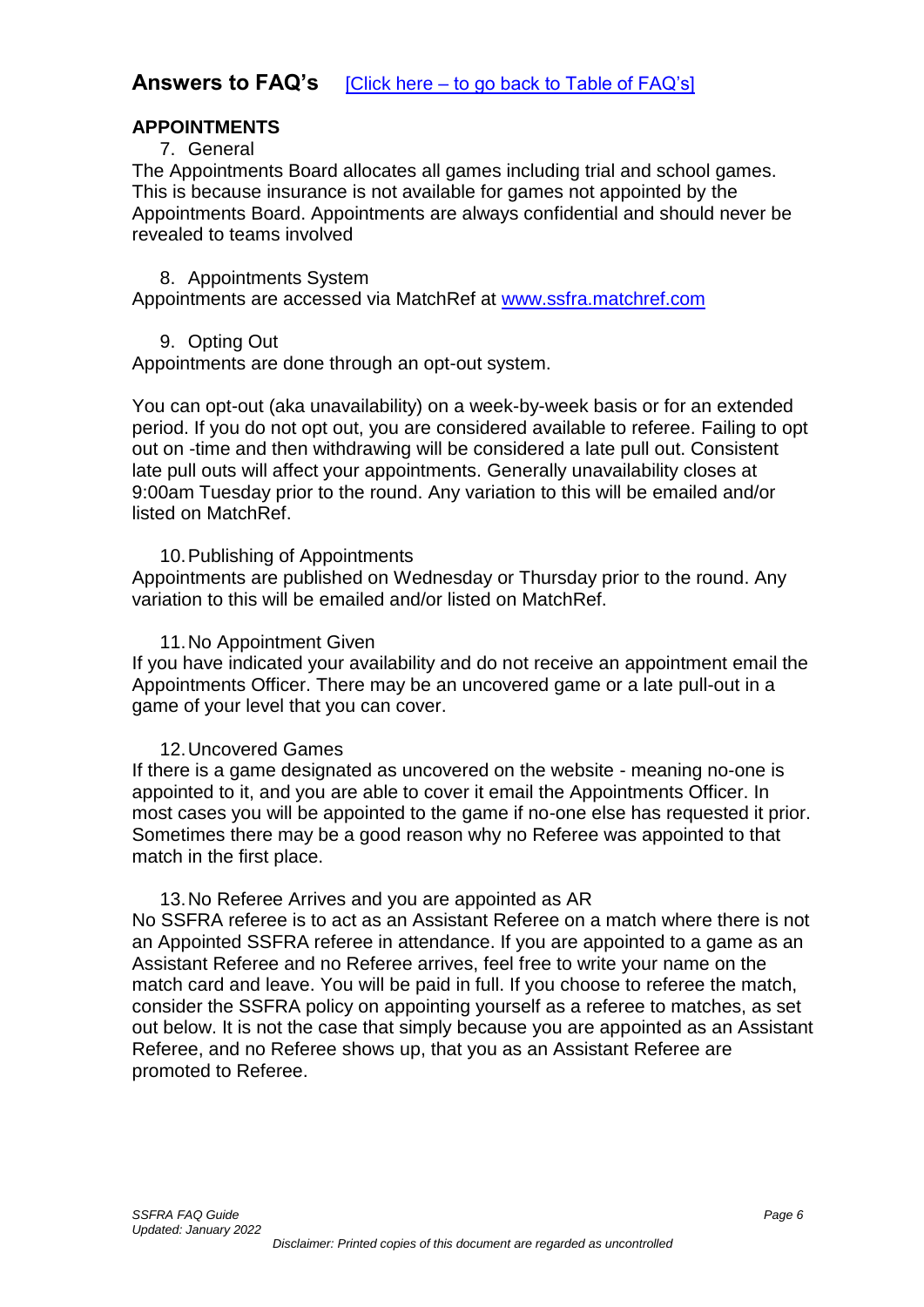# **APPOINTMENTS**

# 7. General

<span id="page-5-0"></span>The Appointments Board allocates all games including trial and school games. This is because insurance is not available for games not appointed by the Appointments Board. Appointments are always confidential and should never be revealed to teams involved

# 8. Appointments System

<span id="page-5-1"></span>Appointments are accessed via MatchRef at [www.ssfra.matchref.com](http://www.ssfra.matchref.com/)

9. Opting Out

<span id="page-5-2"></span>Appointments are done through an opt-out system.

You can opt-out (aka unavailability) on a week-by-week basis or for an extended period. If you do not opt out, you are considered available to referee. Failing to opt out on -time and then withdrawing will be considered a late pull out. Consistent late pull outs will affect your appointments. Generally unavailability closes at 9:00am Tuesday prior to the round. Any variation to this will be emailed and/or listed on MatchRef.

## 10.Publishing of Appointments

<span id="page-5-3"></span>Appointments are published on Wednesday or Thursday prior to the round. Any variation to this will be emailed and/or listed on MatchRef.

## 11.No Appointment Given

<span id="page-5-4"></span>If you have indicated your availability and do not receive an appointment email the Appointments Officer. There may be an uncovered game or a late pull-out in a game of your level that you can cover.

# 12.Uncovered Games

<span id="page-5-5"></span>If there is a game designated as uncovered on the website - meaning no-one is appointed to it, and you are able to cover it email the Appointments Officer. In most cases you will be appointed to the game if no-one else has requested it prior. Sometimes there may be a good reason why no Referee was appointed to that match in the first place.

#### 13.No Referee Arrives and you are appointed as AR

<span id="page-5-6"></span>No SSFRA referee is to act as an Assistant Referee on a match where there is not an Appointed SSFRA referee in attendance. If you are appointed to a game as an Assistant Referee and no Referee arrives, feel free to write your name on the match card and leave. You will be paid in full. If you choose to referee the match, consider the SSFRA policy on appointing yourself as a referee to matches, as set out below. It is not the case that simply because you are appointed as an Assistant Referee, and no Referee shows up, that you as an Assistant Referee are promoted to Referee.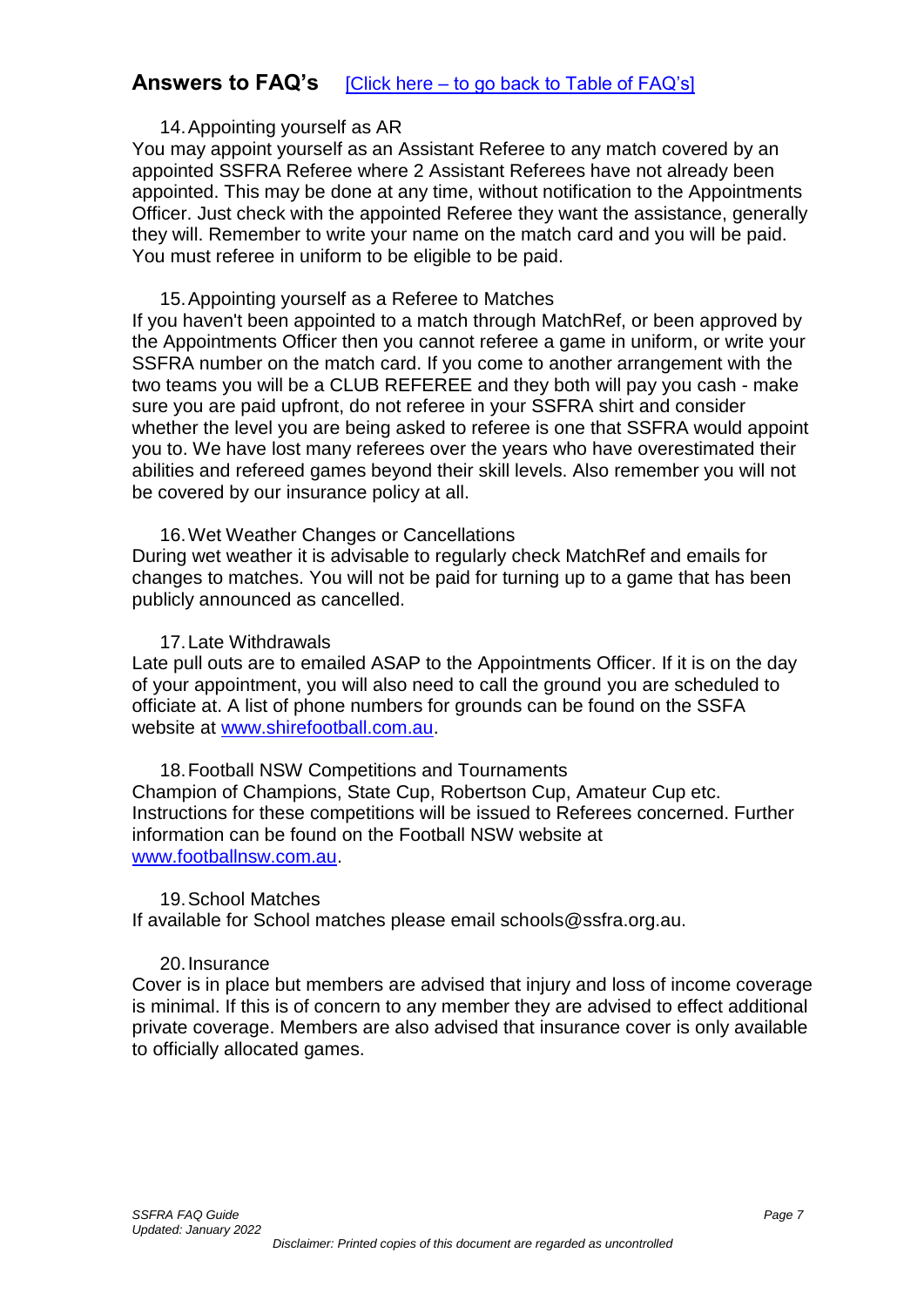### 14.Appointing yourself as AR

<span id="page-6-0"></span>You may appoint yourself as an Assistant Referee to any match covered by an appointed SSFRA Referee where 2 Assistant Referees have not already been appointed. This may be done at any time, without notification to the Appointments Officer. Just check with the appointed Referee they want the assistance, generally they will. Remember to write your name on the match card and you will be paid. You must referee in uniform to be eligible to be paid.

#### 15.Appointing yourself as a Referee to Matches

<span id="page-6-1"></span>If you haven't been appointed to a match through MatchRef, or been approved by the Appointments Officer then you cannot referee a game in uniform, or write your SSFRA number on the match card. If you come to another arrangement with the two teams you will be a CLUB REFEREE and they both will pay you cash - make sure you are paid upfront, do not referee in your SSFRA shirt and consider whether the level you are being asked to referee is one that SSFRA would appoint you to. We have lost many referees over the years who have overestimated their abilities and refereed games beyond their skill levels. Also remember you will not be covered by our insurance policy at all.

#### <span id="page-6-2"></span>16.Wet Weather Changes or Cancellations

During wet weather it is advisable to regularly check MatchRef and emails for changes to matches. You will not be paid for turning up to a game that has been publicly announced as cancelled.

#### 17. Late Withdrawals

<span id="page-6-3"></span>Late pull outs are to emailed ASAP to the Appointments Officer. If it is on the day of your appointment, you will also need to call the ground you are scheduled to officiate at. A list of phone numbers for grounds can be found on the SSFA website at [www.shirefootball.com.au.](www.shirefootball.com.au)

<span id="page-6-4"></span>18.Football NSW Competitions and Tournaments Champion of Champions, State Cup, Robertson Cup, Amateur Cup etc. Instructions for these competitions will be issued to Referees concerned. Further information can be found on the Football NSW website at [www.footballnsw.com.au.](www.footballnsw.com.au)

#### 19.School Matches

<span id="page-6-5"></span>If available for School matches please email schools@ssfra.org.au.

#### 20.Insurance

<span id="page-6-6"></span>Cover is in place but members are advised that injury and loss of income coverage is minimal. If this is of concern to any member they are advised to effect additional private coverage. Members are also advised that insurance cover is only available to officially allocated games.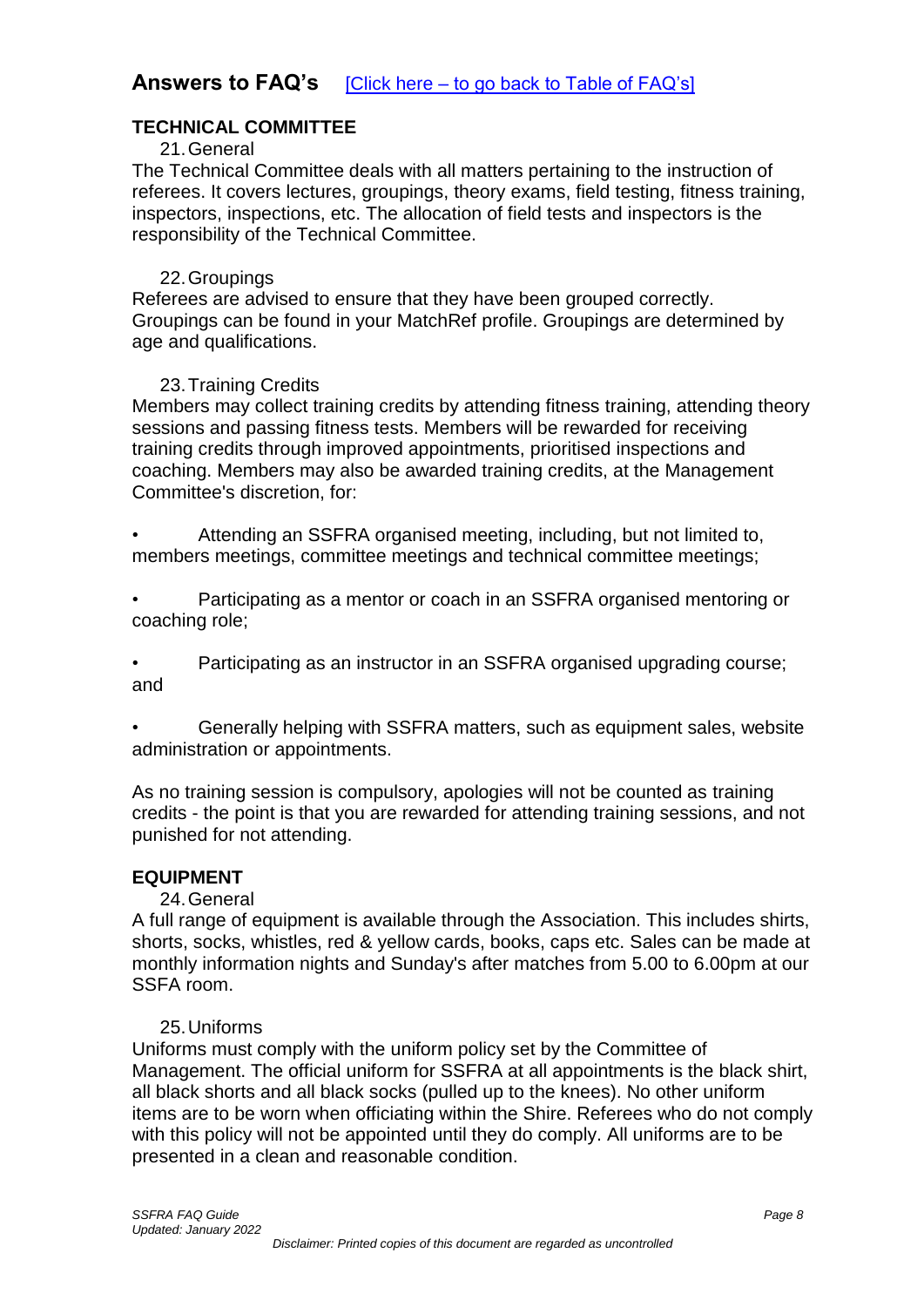## <span id="page-7-0"></span>**TECHNICAL COMMITTEE**

#### 21.General

The Technical Committee deals with all matters pertaining to the instruction of referees. It covers lectures, groupings, theory exams, field testing, fitness training, inspectors, inspections, etc. The allocation of field tests and inspectors is the responsibility of the Technical Committee.

#### 22.Groupings

<span id="page-7-1"></span>Referees are advised to ensure that they have been grouped correctly. Groupings can be found in your MatchRef profile. Groupings are determined by age and qualifications.

## 23.Training Credits

<span id="page-7-2"></span>Members may collect training credits by attending fitness training, attending theory sessions and passing fitness tests. Members will be rewarded for receiving training credits through improved appointments, prioritised inspections and coaching. Members may also be awarded training credits, at the Management Committee's discretion, for:

• Attending an SSFRA organised meeting, including, but not limited to, members meetings, committee meetings and technical committee meetings;

• Participating as a mentor or coach in an SSFRA organised mentoring or coaching role;

• Participating as an instructor in an SSFRA organised upgrading course; and

• Generally helping with SSFRA matters, such as equipment sales, website administration or appointments.

As no training session is compulsory, apologies will not be counted as training credits - the point is that you are rewarded for attending training sessions, and not punished for not attending.

#### <span id="page-7-3"></span>**EQUIPMENT**

#### 24.General

A full range of equipment is available through the Association. This includes shirts, shorts, socks, whistles, red & yellow cards, books, caps etc. Sales can be made at monthly information nights and Sunday's after matches from 5.00 to 6.00pm at our SSFA room.

#### 25.Uniforms

<span id="page-7-4"></span>Uniforms must comply with the uniform policy set by the Committee of Management. The official uniform for SSFRA at all appointments is the black shirt, all black shorts and all black socks (pulled up to the knees). No other uniform items are to be worn when officiating within the Shire. Referees who do not comply with this policy will not be appointed until they do comply. All uniforms are to be presented in a clean and reasonable condition.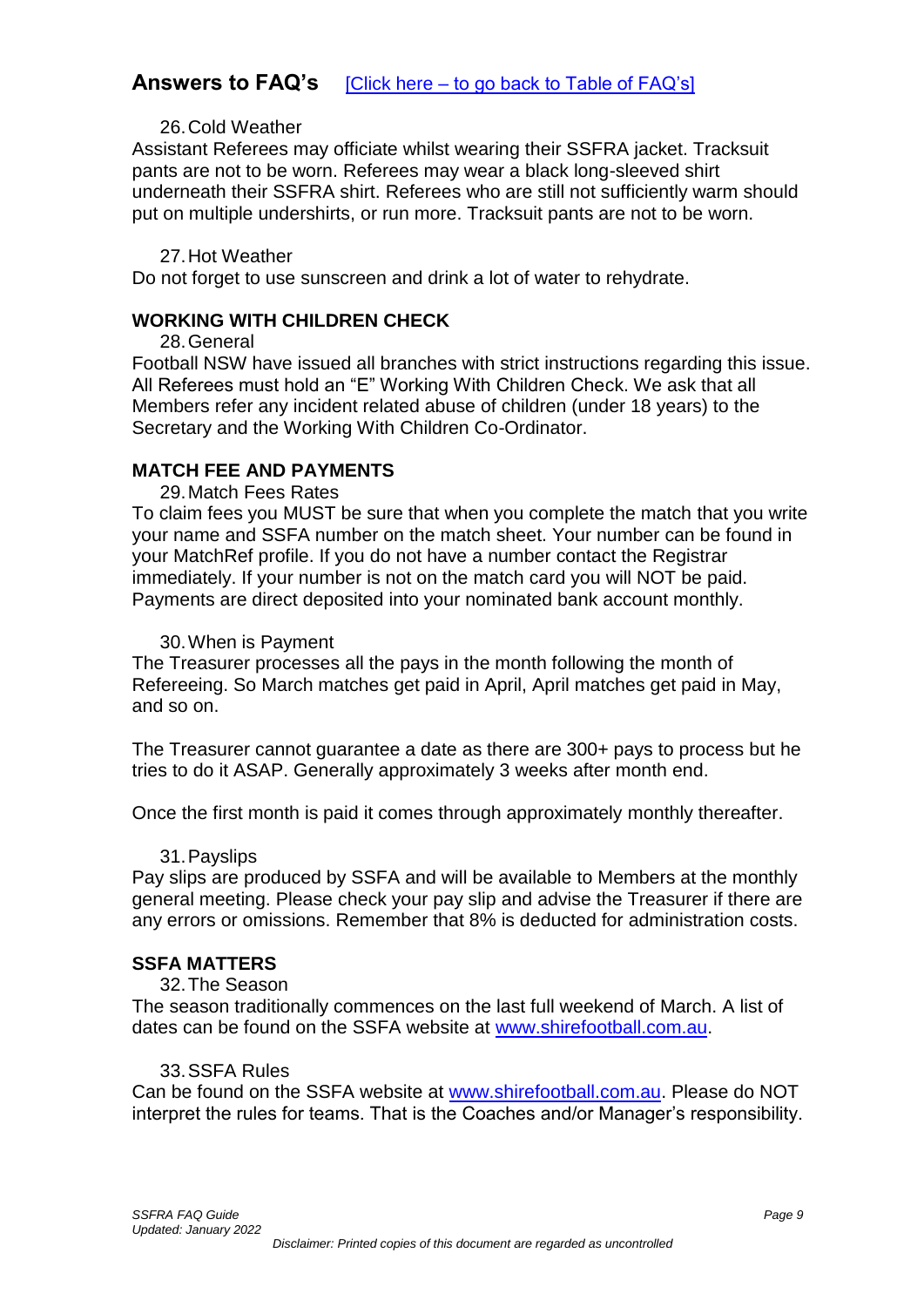### 26.Cold Weather

<span id="page-8-0"></span>Assistant Referees may officiate whilst wearing their SSFRA jacket. Tracksuit pants are not to be worn. Referees may wear a black long-sleeved shirt underneath their SSFRA shirt. Referees who are still not sufficiently warm should put on multiple undershirts, or run more. Tracksuit pants are not to be worn.

#### 27.Hot Weather

<span id="page-8-1"></span>Do not forget to use sunscreen and drink a lot of water to rehydrate.

# <span id="page-8-2"></span>**WORKING WITH CHILDREN CHECK**

28.General

Football NSW have issued all branches with strict instructions regarding this issue. All Referees must hold an "E" Working With Children Check. We ask that all Members refer any incident related abuse of children (under 18 years) to the Secretary and the Working With Children Co-Ordinator.

# **MATCH FEE AND PAYMENTS**

29.Match Fees Rates

<span id="page-8-3"></span>To claim fees you MUST be sure that when you complete the match that you write your name and SSFA number on the match sheet. Your number can be found in your MatchRef profile. If you do not have a number contact the Registrar immediately. If your number is not on the match card you will NOT be paid. Payments are direct deposited into your nominated bank account monthly.

#### 30.When is Payment

<span id="page-8-4"></span>The Treasurer processes all the pays in the month following the month of Refereeing. So March matches get paid in April, April matches get paid in May, and so on.

The Treasurer cannot guarantee a date as there are 300+ pays to process but he tries to do it ASAP. Generally approximately 3 weeks after month end.

Once the first month is paid it comes through approximately monthly thereafter.

#### 31.Payslips

Pay slips are produced by SSFA and will be available to Members at the monthly general meeting. Please check your pay slip and advise the Treasurer if there are any errors or omissions. Remember that 8% is deducted for administration costs.

# <span id="page-8-5"></span>**SSFA MATTERS**

#### 32.The Season

The season traditionally commences on the last full weekend of March. A list of dates can be found on the SSFA website at [www.shirefootball.com.au.](www.shirefootball.com.au)

#### 33.SSFA Rules

<span id="page-8-6"></span>Can be found on the SSFA website at [www.shirefootball.com.au.](www.shirefootball.com.au) Please do NOT interpret the rules for teams. That is the Coaches and/or Manager's responsibility.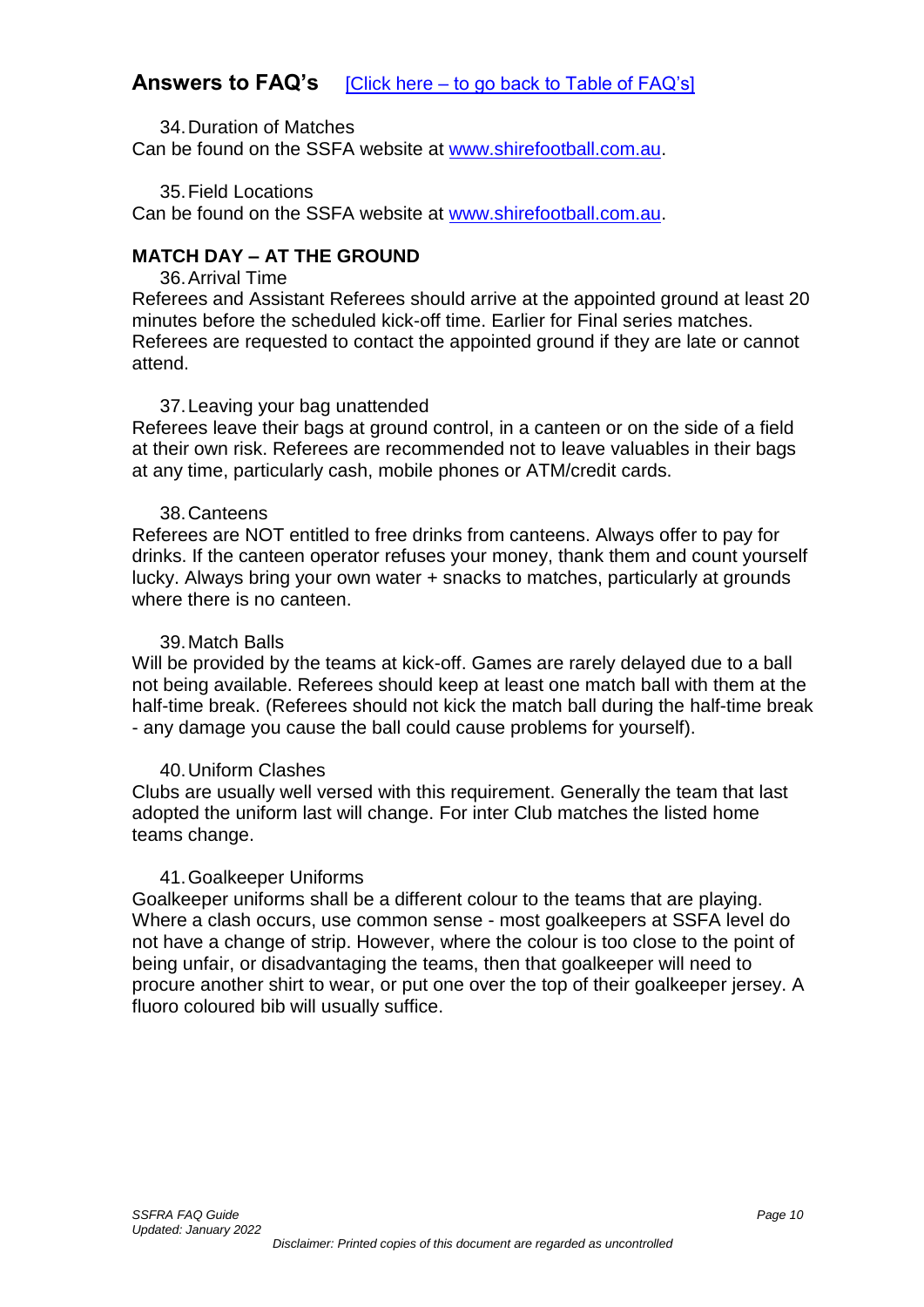34.Duration of Matches

<span id="page-9-0"></span>Can be found on the SSFA website at [www.shirefootball.com.au.](www.shirefootball.com.au)

35.Field Locations

<span id="page-9-1"></span>Can be found on the SSFA website at [www.shirefootball.com.au.](www.shirefootball.com.au)

# **MATCH DAY – AT THE GROUND**

#### 36.Arrival Time

<span id="page-9-2"></span>Referees and Assistant Referees should arrive at the appointed ground at least 20 minutes before the scheduled kick-off time. Earlier for Final series matches. Referees are requested to contact the appointed ground if they are late or cannot attend.

## 37.Leaving your bag unattended

<span id="page-9-3"></span>Referees leave their bags at ground control, in a canteen or on the side of a field at their own risk. Referees are recommended not to leave valuables in their bags at any time, particularly cash, mobile phones or ATM/credit cards.

#### 38.Canteens

<span id="page-9-4"></span>Referees are NOT entitled to free drinks from canteens. Always offer to pay for drinks. If the canteen operator refuses your money, thank them and count yourself lucky. Always bring your own water + snacks to matches, particularly at grounds where there is no canteen.

## 39.Match Balls

<span id="page-9-5"></span>Will be provided by the teams at kick-off. Games are rarely delayed due to a ball not being available. Referees should keep at least one match ball with them at the half-time break. (Referees should not kick the match ball during the half-time break - any damage you cause the ball could cause problems for yourself).

#### 40.Uniform Clashes

<span id="page-9-6"></span>Clubs are usually well versed with this requirement. Generally the team that last adopted the uniform last will change. For inter Club matches the listed home teams change.

#### 41.Goalkeeper Uniforms

<span id="page-9-7"></span>Goalkeeper uniforms shall be a different colour to the teams that are playing. Where a clash occurs, use common sense - most goalkeepers at SSFA level do not have a change of strip. However, where the colour is too close to the point of being unfair, or disadvantaging the teams, then that goalkeeper will need to procure another shirt to wear, or put one over the top of their goalkeeper jersey. A fluoro coloured bib will usually suffice.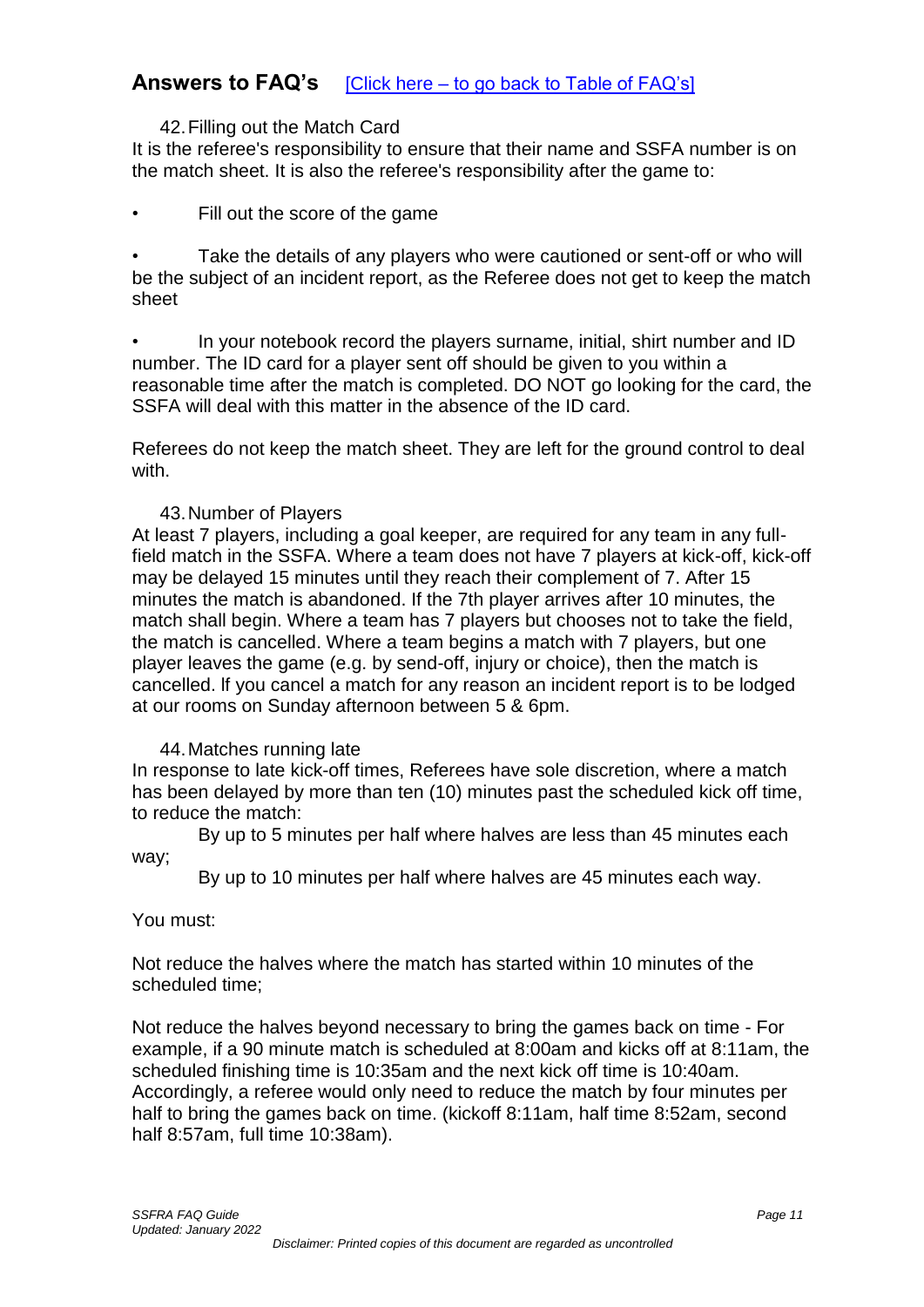## 42.Filling out the Match Card

<span id="page-10-0"></span>It is the referee's responsibility to ensure that their name and SSFA number is on the match sheet. It is also the referee's responsibility after the game to:

Fill out the score of the game

Take the details of any players who were cautioned or sent-off or who will be the subject of an incident report, as the Referee does not get to keep the match sheet

• In your notebook record the players surname, initial, shirt number and ID number. The ID card for a player sent off should be given to you within a reasonable time after the match is completed. DO NOT go looking for the card, the SSFA will deal with this matter in the absence of the ID card.

Referees do not keep the match sheet. They are left for the ground control to deal with.

## 43.Number of Players

<span id="page-10-1"></span>At least 7 players, including a goal keeper, are required for any team in any fullfield match in the SSFA. Where a team does not have 7 players at kick-off, kick-off may be delayed 15 minutes until they reach their complement of 7. After 15 minutes the match is abandoned. If the 7th player arrives after 10 minutes, the match shall begin. Where a team has 7 players but chooses not to take the field, the match is cancelled. Where a team begins a match with 7 players, but one player leaves the game (e.g. by send-off, injury or choice), then the match is cancelled. lf you cancel a match for any reason an incident report is to be lodged at our rooms on Sunday afternoon between 5 & 6pm.

#### 44.Matches running late

<span id="page-10-2"></span>In response to late kick-off times, Referees have sole discretion, where a match has been delayed by more than ten (10) minutes past the scheduled kick off time, to reduce the match:

By up to 5 minutes per half where halves are less than 45 minutes each way;

By up to 10 minutes per half where halves are 45 minutes each way.

#### You must:

Not reduce the halves where the match has started within 10 minutes of the scheduled time;

Not reduce the halves beyond necessary to bring the games back on time - For example, if a 90 minute match is scheduled at 8:00am and kicks off at 8:11am, the scheduled finishing time is 10:35am and the next kick off time is 10:40am. Accordingly, a referee would only need to reduce the match by four minutes per half to bring the games back on time. (kickoff 8:11am, half time 8:52am, second half 8:57am, full time 10:38am).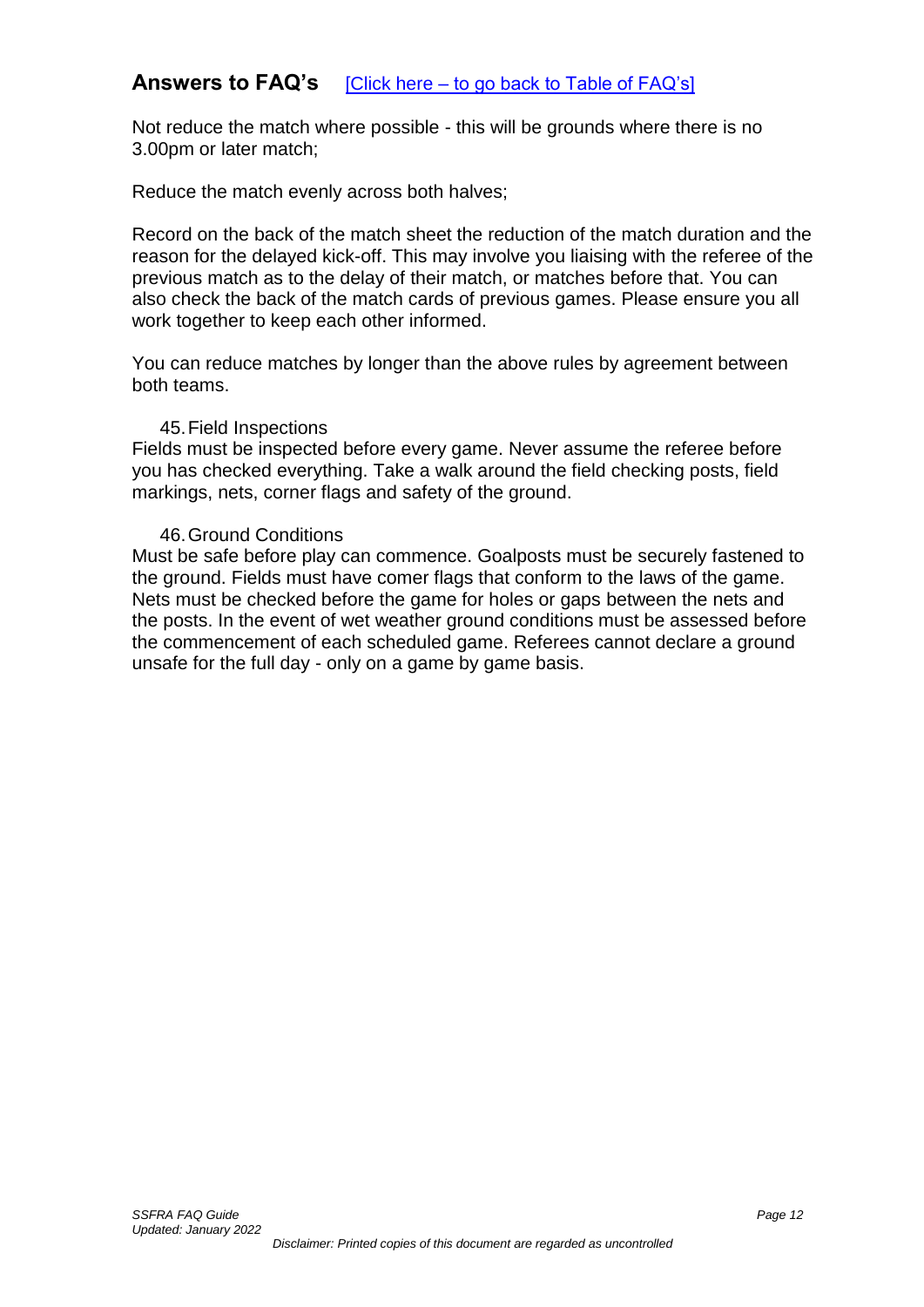Not reduce the match where possible - this will be grounds where there is no 3.00pm or later match;

Reduce the match evenly across both halves;

Record on the back of the match sheet the reduction of the match duration and the reason for the delayed kick-off. This may involve you liaising with the referee of the previous match as to the delay of their match, or matches before that. You can also check the back of the match cards of previous games. Please ensure you all work together to keep each other informed.

You can reduce matches by longer than the above rules by agreement between both teams.

#### 45.Field Inspections

<span id="page-11-0"></span>Fields must be inspected before every game. Never assume the referee before you has checked everything. Take a walk around the field checking posts, field markings, nets, corner flags and safety of the ground.

## 46.Ground Conditions

<span id="page-11-1"></span>Must be safe before play can commence. Goalposts must be securely fastened to the ground. Fields must have comer flags that conform to the laws of the game. Nets must be checked before the game for holes or gaps between the nets and the posts. In the event of wet weather ground conditions must be assessed before the commencement of each scheduled game. Referees cannot declare a ground unsafe for the full day - only on a game by game basis.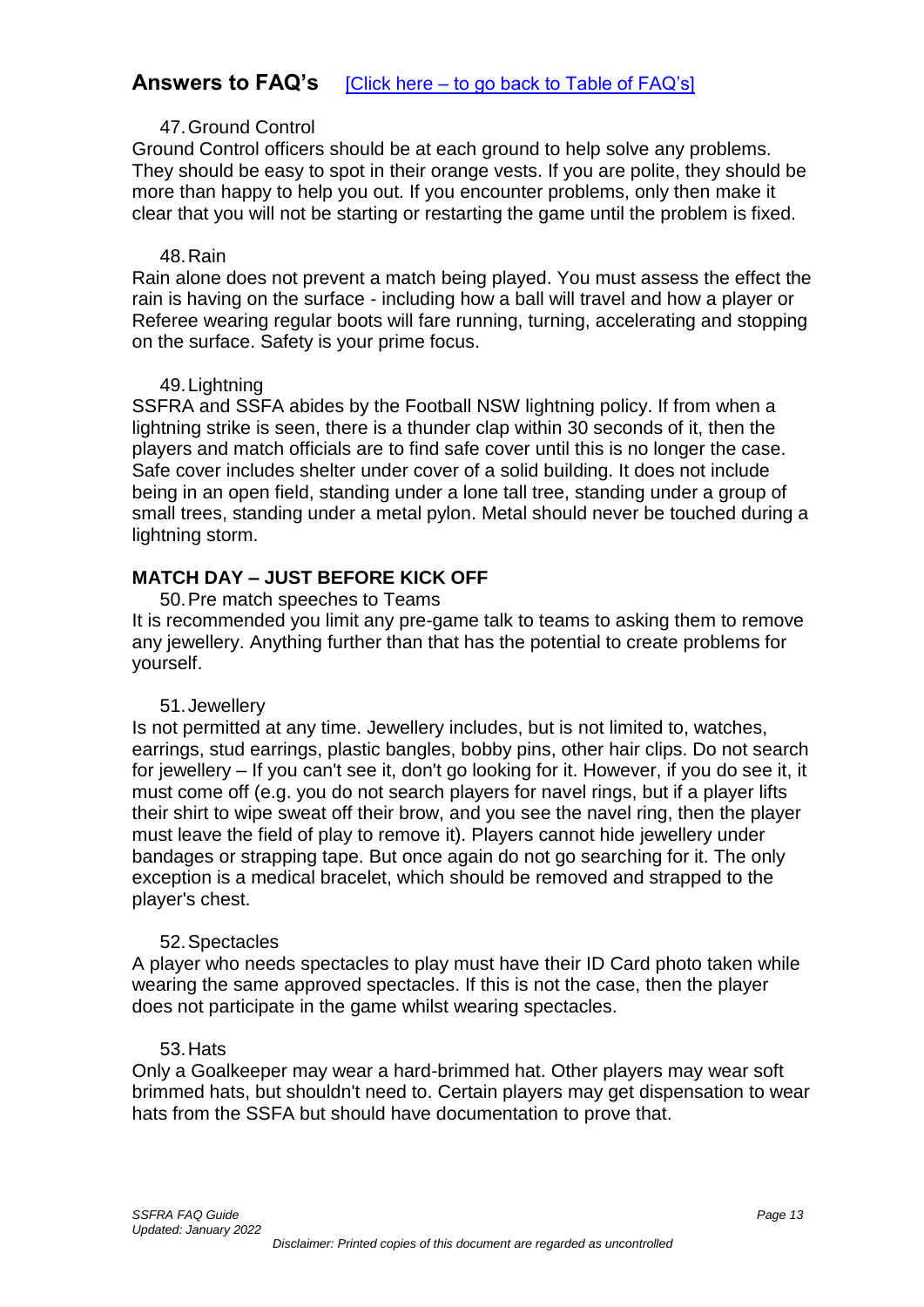## 47.Ground Control

<span id="page-12-0"></span>Ground Control officers should be at each ground to help solve any problems. They should be easy to spot in their orange vests. If you are polite, they should be more than happy to help you out. If you encounter problems, only then make it clear that you will not be starting or restarting the game until the problem is fixed.

#### 48.Rain

<span id="page-12-1"></span>Rain alone does not prevent a match being played. You must assess the effect the rain is having on the surface - including how a ball will travel and how a player or Referee wearing regular boots will fare running, turning, accelerating and stopping on the surface. Safety is your prime focus.

#### 49.Lightning

<span id="page-12-2"></span>SSFRA and SSFA abides by the Football NSW lightning policy. If from when a lightning strike is seen, there is a thunder clap within 30 seconds of it, then the players and match officials are to find safe cover until this is no longer the case. Safe cover includes shelter under cover of a solid building. It does not include being in an open field, standing under a lone tall tree, standing under a group of small trees, standing under a metal pylon. Metal should never be touched during a lightning storm.

# **MATCH DAY – JUST BEFORE KICK OFF**

50.Pre match speeches to Teams

<span id="page-12-3"></span>It is recommended you limit any pre-game talk to teams to asking them to remove any jewellery. Anything further than that has the potential to create problems for yourself.

#### 51.Jewellery

<span id="page-12-4"></span>Is not permitted at any time. Jewellery includes, but is not limited to, watches, earrings, stud earrings, plastic bangles, bobby pins, other hair clips. Do not search for jewellery – If you can't see it, don't go looking for it. However, if you do see it, it must come off (e.g. you do not search players for navel rings, but if a player lifts their shirt to wipe sweat off their brow, and you see the navel ring, then the player must leave the field of play to remove it). Players cannot hide jewellery under bandages or strapping tape. But once again do not go searching for it. The only exception is a medical bracelet, which should be removed and strapped to the player's chest.

#### 52.Spectacles

<span id="page-12-5"></span>A player who needs spectacles to play must have their ID Card photo taken while wearing the same approved spectacles. If this is not the case, then the player does not participate in the game whilst wearing spectacles.

#### 53.Hats

<span id="page-12-6"></span>Only a Goalkeeper may wear a hard-brimmed hat. Other players may wear soft brimmed hats, but shouldn't need to. Certain players may get dispensation to wear hats from the SSFA but should have documentation to prove that.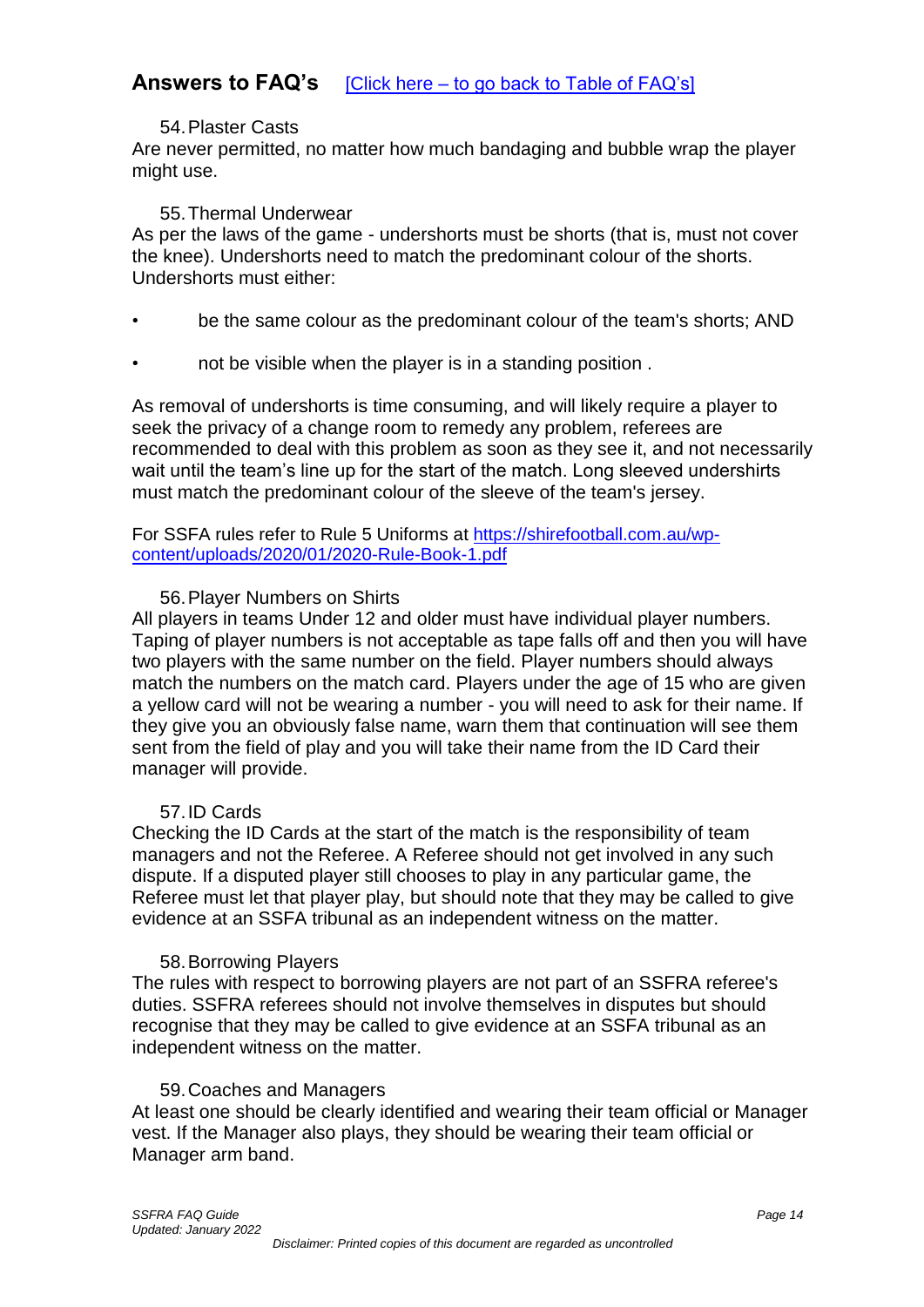## 54.Plaster Casts

<span id="page-13-0"></span>Are never permitted, no matter how much bandaging and bubble wrap the player might use.

#### 55.Thermal Underwear

<span id="page-13-1"></span>As per the laws of the game - undershorts must be shorts (that is, must not cover the knee). Undershorts need to match the predominant colour of the shorts. Undershorts must either:

- be the same colour as the predominant colour of the team's shorts; AND
- not be visible when the player is in a standing position .

As removal of undershorts is time consuming, and will likely require a player to seek the privacy of a change room to remedy any problem, referees are recommended to deal with this problem as soon as they see it, and not necessarily wait until the team's line up for the start of the match. Long sleeved undershirts must match the predominant colour of the sleeve of the team's jersey.

For SSFA rules refer to Rule 5 Uniforms at [https://shirefootball.com.au/wp](https://shirefootball.com.au/wp-content/uploads/2020/01/2020-Rule-Book-1.pdf)[content/uploads/2020/01/2020-Rule-Book-1.pdf](https://shirefootball.com.au/wp-content/uploads/2020/01/2020-Rule-Book-1.pdf)

#### 56.Player Numbers on Shirts

<span id="page-13-2"></span>All players in teams Under 12 and older must have individual player numbers. Taping of player numbers is not acceptable as tape falls off and then you will have two players with the same number on the field. Player numbers should always match the numbers on the match card. Players under the age of 15 who are given a yellow card will not be wearing a number - you will need to ask for their name. If they give you an obviously false name, warn them that continuation will see them sent from the field of play and you will take their name from the ID Card their manager will provide.

#### 57.ID Cards

<span id="page-13-3"></span>Checking the ID Cards at the start of the match is the responsibility of team managers and not the Referee. A Referee should not get involved in any such dispute. If a disputed player still chooses to play in any particular game, the Referee must let that player play, but should note that they may be called to give evidence at an SSFA tribunal as an independent witness on the matter.

#### 58.Borrowing Players

<span id="page-13-4"></span>The rules with respect to borrowing players are not part of an SSFRA referee's duties. SSFRA referees should not involve themselves in disputes but should recognise that they may be called to give evidence at an SSFA tribunal as an independent witness on the matter.

#### 59.Coaches and Managers

<span id="page-13-5"></span>At least one should be clearly identified and wearing their team official or Manager vest. If the Manager also plays, they should be wearing their team official or Manager arm band.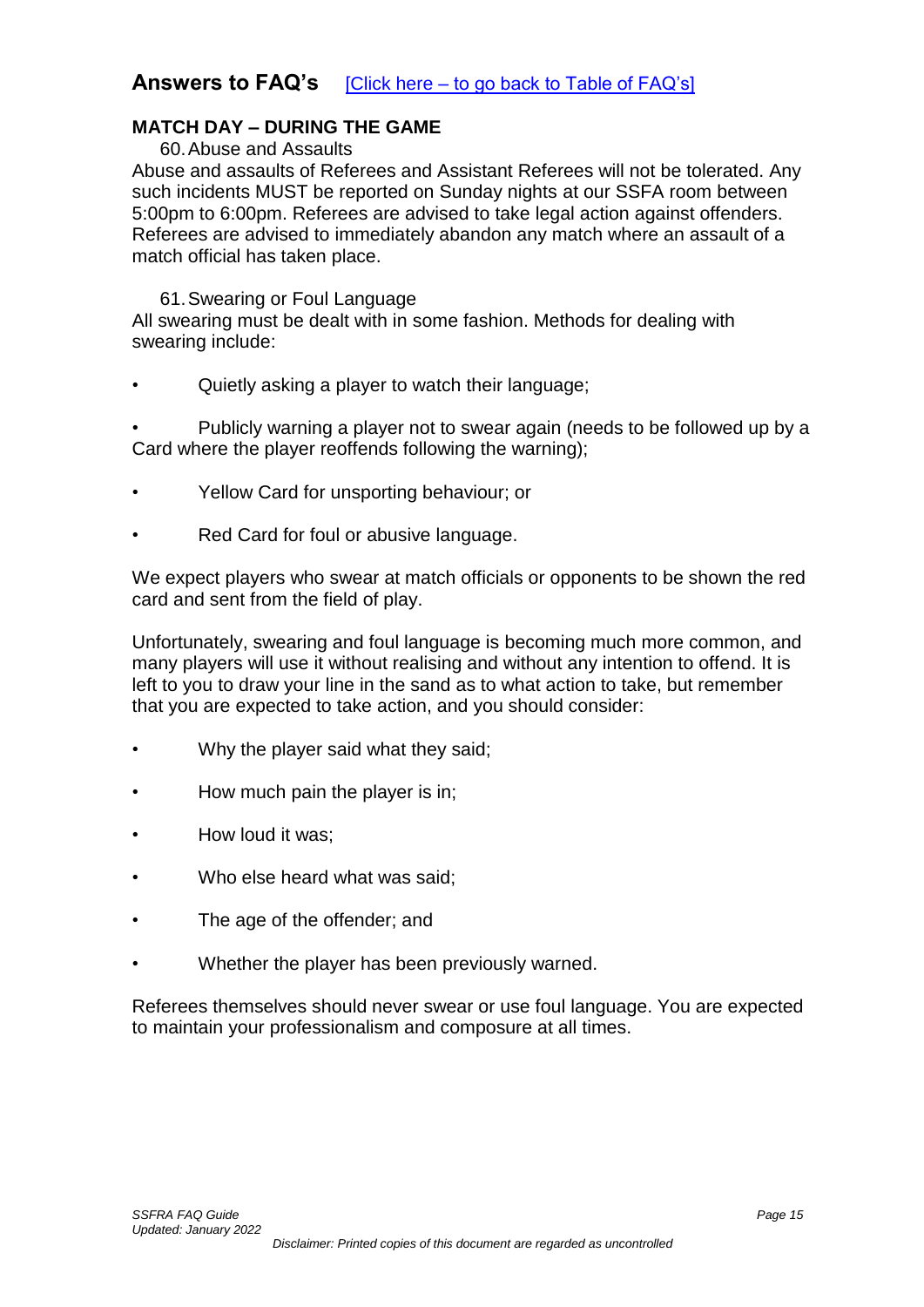# **MATCH DAY – DURING THE GAME**

<span id="page-14-0"></span>60.Abuse and Assaults

Abuse and assaults of Referees and Assistant Referees will not be tolerated. Any such incidents MUST be reported on Sunday nights at our SSFA room between 5:00pm to 6:00pm. Referees are advised to take legal action against offenders. Referees are advised to immediately abandon any match where an assault of a match official has taken place.

## 61.Swearing or Foul Language

<span id="page-14-1"></span>All swearing must be dealt with in some fashion. Methods for dealing with swearing include:

• Quietly asking a player to watch their language;

• Publicly warning a player not to swear again (needs to be followed up by a Card where the player reoffends following the warning);

- Yellow Card for unsporting behaviour; or
- Red Card for foul or abusive language.

We expect players who swear at match officials or opponents to be shown the red card and sent from the field of play.

Unfortunately, swearing and foul language is becoming much more common, and many players will use it without realising and without any intention to offend. It is left to you to draw your line in the sand as to what action to take, but remember that you are expected to take action, and you should consider:

- Why the player said what they said;
- How much pain the player is in;
- How loud it was;
- Who else heard what was said;
- The age of the offender; and
- Whether the player has been previously warned.

Referees themselves should never swear or use foul language. You are expected to maintain your professionalism and composure at all times.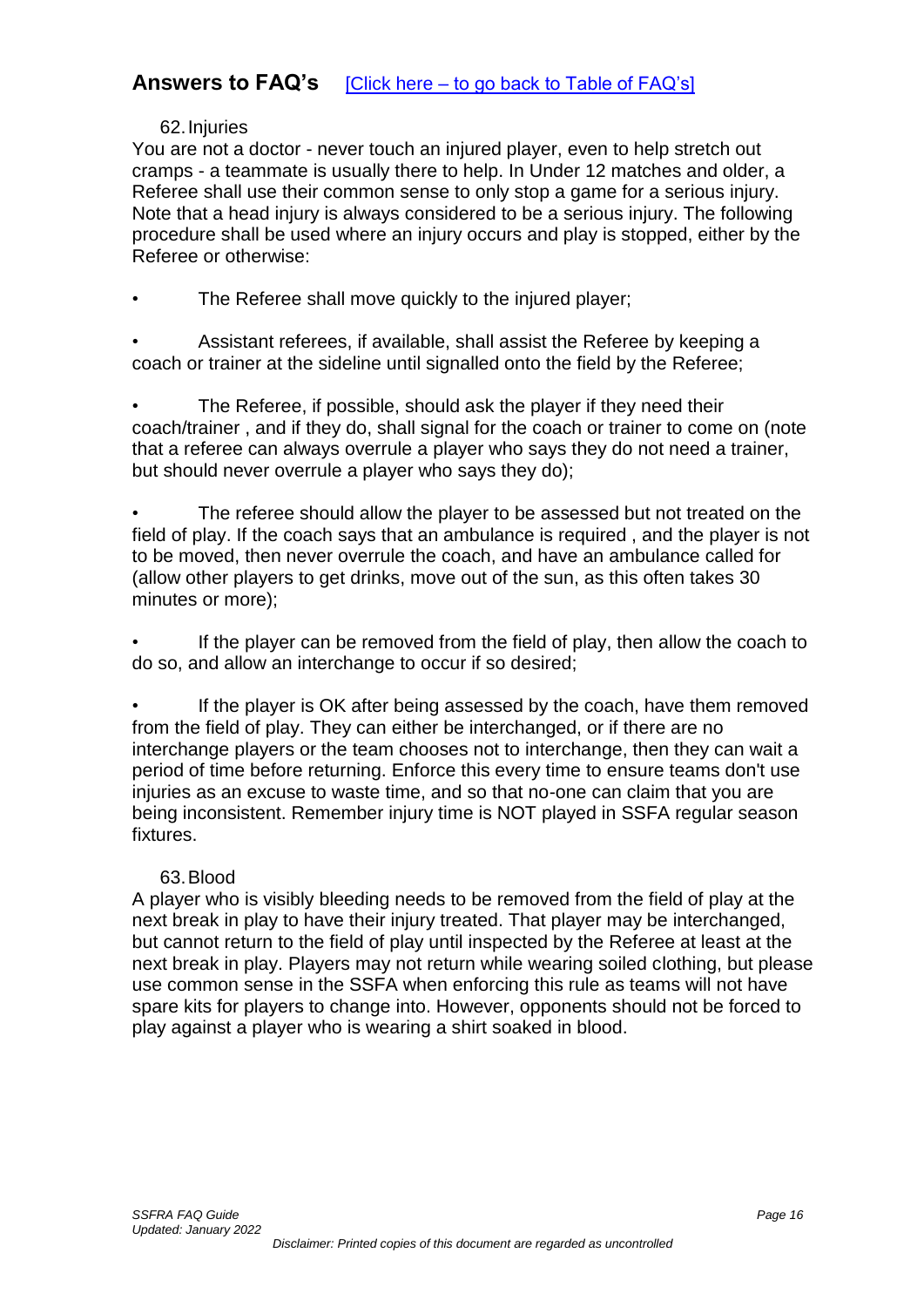# 62.Injuries

<span id="page-15-0"></span>You are not a doctor - never touch an injured player, even to help stretch out cramps - a teammate is usually there to help. In Under 12 matches and older, a Referee shall use their common sense to only stop a game for a serious injury. Note that a head injury is always considered to be a serious injury. The following procedure shall be used where an injury occurs and play is stopped, either by the Referee or otherwise:

The Referee shall move quickly to the injured player;

• Assistant referees, if available, shall assist the Referee by keeping a coach or trainer at the sideline until signalled onto the field by the Referee;

The Referee, if possible, should ask the player if they need their coach/trainer , and if they do, shall signal for the coach or trainer to come on (note that a referee can always overrule a player who says they do not need a trainer, but should never overrule a player who says they do);

The referee should allow the player to be assessed but not treated on the field of play. If the coach says that an ambulance is required , and the player is not to be moved, then never overrule the coach, and have an ambulance called for (allow other players to get drinks, move out of the sun, as this often takes 30 minutes or more);

If the player can be removed from the field of play, then allow the coach to do so, and allow an interchange to occur if so desired;

If the player is OK after being assessed by the coach, have them removed from the field of play. They can either be interchanged, or if there are no interchange players or the team chooses not to interchange, then they can wait a period of time before returning. Enforce this every time to ensure teams don't use injuries as an excuse to waste time, and so that no-one can claim that you are being inconsistent. Remember injury time is NOT played in SSFA regular season fixtures.

# 63.Blood

<span id="page-15-1"></span>A player who is visibly bleeding needs to be removed from the field of play at the next break in play to have their injury treated. That player may be interchanged, but cannot return to the field of play until inspected by the Referee at least at the next break in play. Players may not return while wearing soiled clothing, but please use common sense in the SSFA when enforcing this rule as teams will not have spare kits for players to change into. However, opponents should not be forced to play against a player who is wearing a shirt soaked in blood.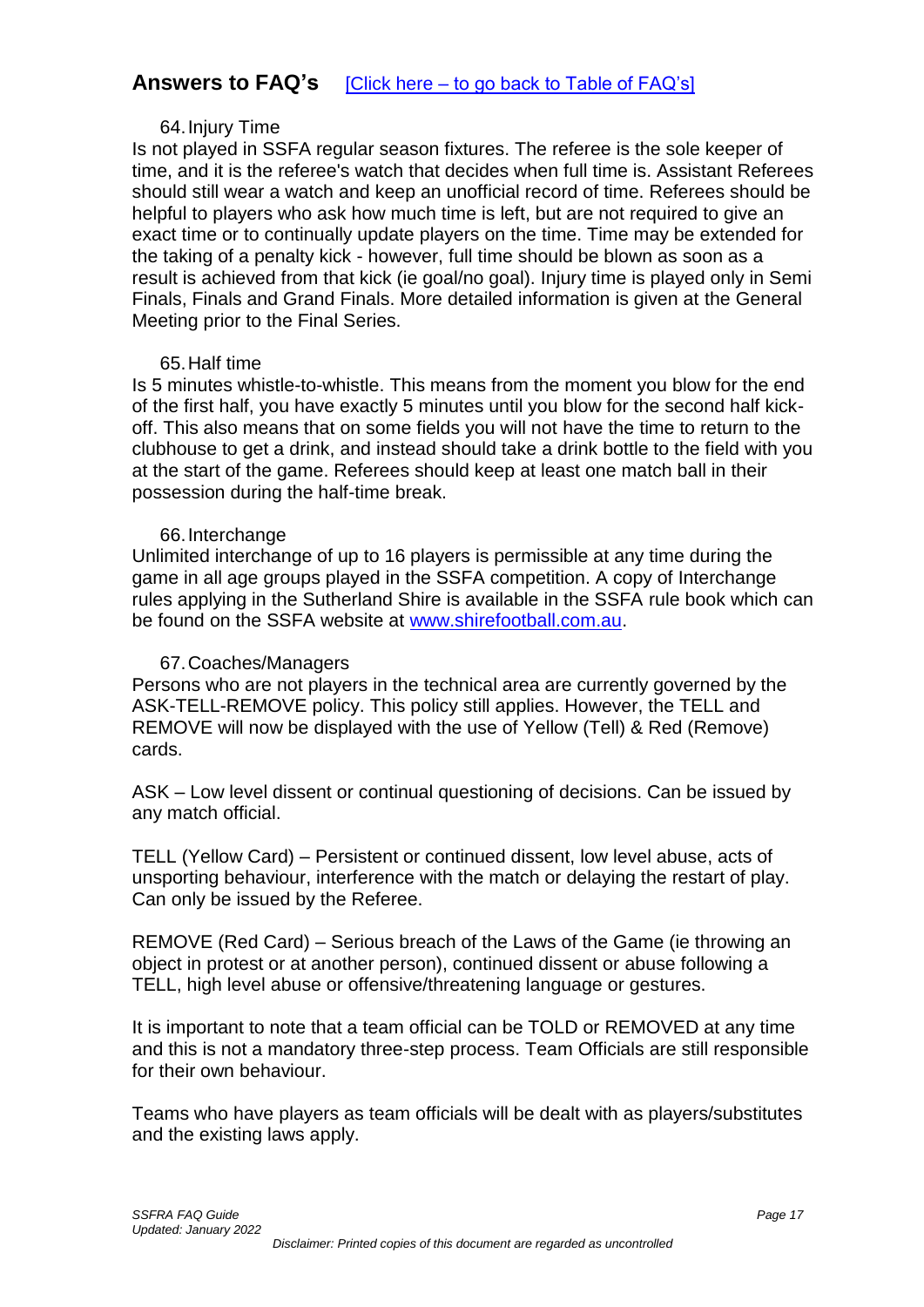# 64.Injury Time

<span id="page-16-0"></span>Is not played in SSFA regular season fixtures. The referee is the sole keeper of time, and it is the referee's watch that decides when full time is. Assistant Referees should still wear a watch and keep an unofficial record of time. Referees should be helpful to players who ask how much time is left, but are not required to give an exact time or to continually update players on the time. Time may be extended for the taking of a penalty kick - however, full time should be blown as soon as a result is achieved from that kick (ie goal/no goal). Injury time is played only in Semi Finals, Finals and Grand Finals. More detailed information is given at the General Meeting prior to the Final Series.

## 65.Half time

<span id="page-16-1"></span>Is 5 minutes whistle-to-whistle. This means from the moment you blow for the end of the first half, you have exactly 5 minutes until you blow for the second half kickoff. This also means that on some fields you will not have the time to return to the clubhouse to get a drink, and instead should take a drink bottle to the field with you at the start of the game. Referees should keep at least one match ball in their possession during the half-time break.

## 66.Interchange

<span id="page-16-2"></span>Unlimited interchange of up to 16 players is permissible at any time during the game in all age groups played in the SSFA competition. A copy of Interchange rules applying in the Sutherland Shire is available in the SSFA rule book which can be found on the SSFA website at [www.shirefootball.com.au.](www.shirefootball.com.au)

## 67.Coaches/Managers

<span id="page-16-3"></span>Persons who are not players in the technical area are currently governed by the ASK-TELL-REMOVE policy. This policy still applies. However, the TELL and REMOVE will now be displayed with the use of Yellow (Tell) & Red (Remove) cards.

ASK – Low level dissent or continual questioning of decisions. Can be issued by any match official.

TELL (Yellow Card) – Persistent or continued dissent, low level abuse, acts of unsporting behaviour, interference with the match or delaying the restart of play. Can only be issued by the Referee.

REMOVE (Red Card) – Serious breach of the Laws of the Game (ie throwing an object in protest or at another person), continued dissent or abuse following a TELL, high level abuse or offensive/threatening language or gestures.

It is important to note that a team official can be TOLD or REMOVED at any time and this is not a mandatory three-step process. Team Officials are still responsible for their own behaviour.

Teams who have players as team officials will be dealt with as players/substitutes and the existing laws apply.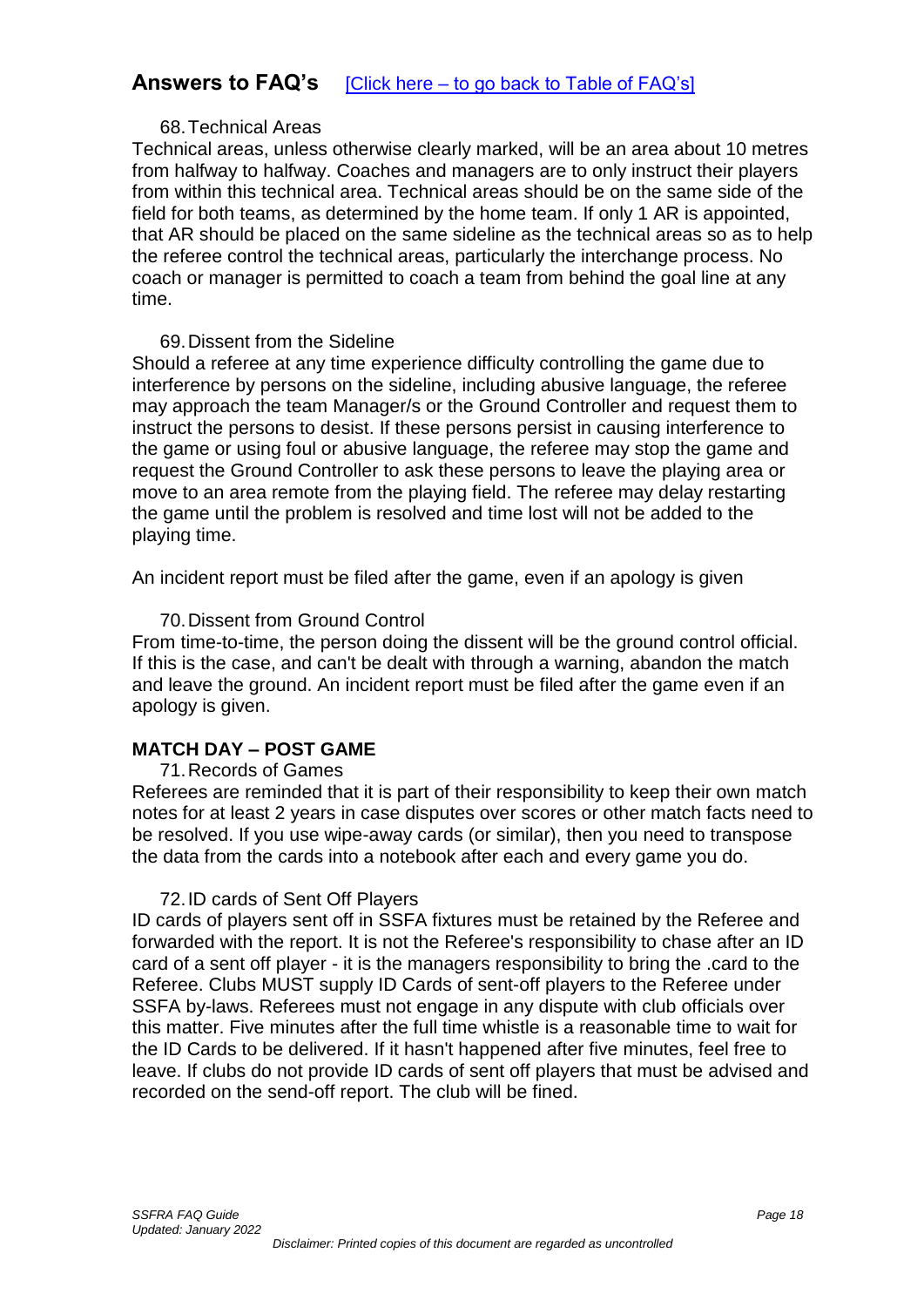### 68.Technical Areas

<span id="page-17-0"></span>Technical areas, unless otherwise clearly marked, will be an area about 10 metres from halfway to halfway. Coaches and managers are to only instruct their players from within this technical area. Technical areas should be on the same side of the field for both teams, as determined by the home team. If only 1 AR is appointed, that AR should be placed on the same sideline as the technical areas so as to help the referee control the technical areas, particularly the interchange process. No coach or manager is permitted to coach a team from behind the goal line at any time.

## 69.Dissent from the Sideline

<span id="page-17-1"></span>Should a referee at any time experience difficulty controlling the game due to interference by persons on the sideline, including abusive language, the referee may approach the team Manager/s or the Ground Controller and request them to instruct the persons to desist. If these persons persist in causing interference to the game or using foul or abusive language, the referee may stop the game and request the Ground Controller to ask these persons to leave the playing area or move to an area remote from the playing field. The referee may delay restarting the game until the problem is resolved and time lost will not be added to the playing time.

An incident report must be filed after the game, even if an apology is given

## 70.Dissent from Ground Control

<span id="page-17-2"></span>From time-to-time, the person doing the dissent will be the ground control official. If this is the case, and can't be dealt with through a warning, abandon the match and leave the ground. An incident report must be filed after the game even if an apology is given.

# <span id="page-17-3"></span>**MATCH DAY – POST GAME**

#### 71.Records of Games

Referees are reminded that it is part of their responsibility to keep their own match notes for at least 2 years in case disputes over scores or other match facts need to be resolved. If you use wipe-away cards (or similar), then you need to transpose the data from the cards into a notebook after each and every game you do.

#### 72.ID cards of Sent Off Players

<span id="page-17-4"></span>ID cards of players sent off in SSFA fixtures must be retained by the Referee and forwarded with the report. It is not the Referee's responsibility to chase after an ID card of a sent off player - it is the managers responsibility to bring the .card to the Referee. Clubs MUST supply ID Cards of sent-off players to the Referee under SSFA by-laws. Referees must not engage in any dispute with club officials over this matter. Five minutes after the full time whistle is a reasonable time to wait for the ID Cards to be delivered. If it hasn't happened after five minutes, feel free to leave. If clubs do not provide ID cards of sent off players that must be advised and recorded on the send-off report. The club will be fined.